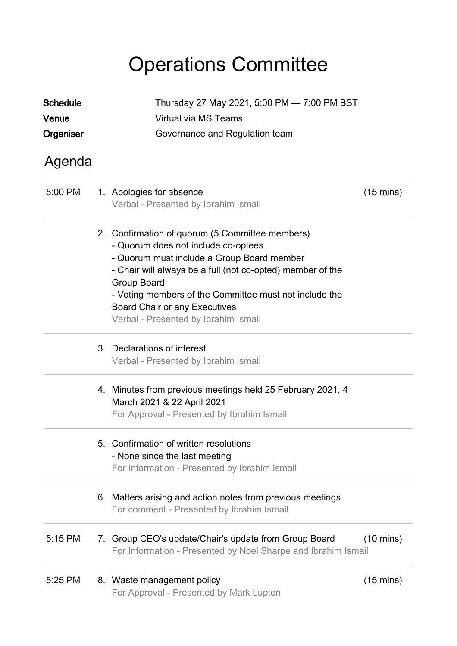# Operations Committee

| <b>Schedule</b> | Thursday 27 May 2021, 5:00 PM - 7:00 PM BST |                                                                                                                                                                                                                                                                                                                                                             |                     |  |
|-----------------|---------------------------------------------|-------------------------------------------------------------------------------------------------------------------------------------------------------------------------------------------------------------------------------------------------------------------------------------------------------------------------------------------------------------|---------------------|--|
| Venue           |                                             |                                                                                                                                                                                                                                                                                                                                                             |                     |  |
| Organiser       |                                             |                                                                                                                                                                                                                                                                                                                                                             |                     |  |
| Agenda          |                                             |                                                                                                                                                                                                                                                                                                                                                             |                     |  |
| 5:00 PM         |                                             | 1. Apologies for absence<br>Verbal - Presented by Ibrahim Ismail                                                                                                                                                                                                                                                                                            | $(15 \text{ mins})$ |  |
|                 |                                             | 2. Confirmation of quorum (5 Committee members)<br>- Quorum does not include co-optees<br>- Quorum must include a Group Board member<br>- Chair will always be a full (not co-opted) member of the<br>Group Board<br>- Voting members of the Committee must not include the<br><b>Board Chair or any Executives</b><br>Verbal - Presented by Ibrahim Ismail |                     |  |
|                 |                                             | 3. Declarations of interest<br>Verbal - Presented by Ibrahim Ismail                                                                                                                                                                                                                                                                                         |                     |  |
|                 |                                             | 4. Minutes from previous meetings held 25 February 2021, 4<br>March 2021 & 22 April 2021<br>For Approval - Presented by Ibrahim Ismail                                                                                                                                                                                                                      |                     |  |
|                 |                                             | 5. Confirmation of written resolutions<br>- None since the last meeting<br>For Information - Presented by Ibrahim Ismail                                                                                                                                                                                                                                    |                     |  |
|                 |                                             | 6. Matters arising and action notes from previous meetings<br>For comment - Presented by Ibrahim Ismail                                                                                                                                                                                                                                                     |                     |  |
| 5:15 PM         |                                             | 7. Group CEO's update/Chair's update from Group Board<br>For Information - Presented by Noel Sharpe and Ibrahim Ismail                                                                                                                                                                                                                                      | $(10 \text{ mins})$ |  |
| 5:25 PM         |                                             | 8. Waste management policy<br>For Approval - Presented by Mark Lupton                                                                                                                                                                                                                                                                                       | $(15 \text{ mins})$ |  |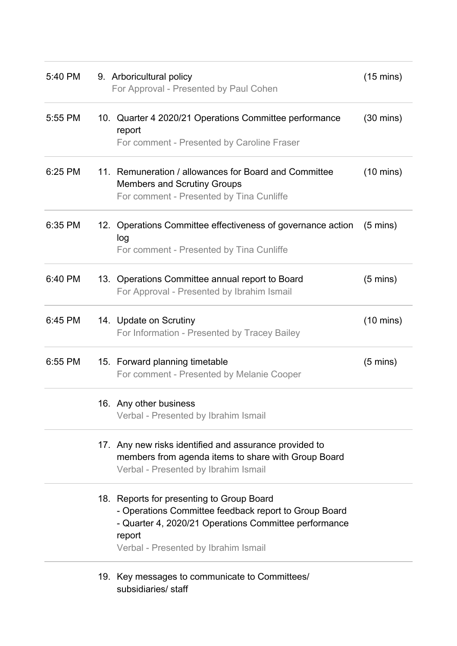| 5:40 PM | 9. Arboricultural policy<br>For Approval - Presented by Paul Cohen                                                                                                                                            | $(15 \text{ mins})$ |
|---------|---------------------------------------------------------------------------------------------------------------------------------------------------------------------------------------------------------------|---------------------|
| 5:55 PM | 10. Quarter 4 2020/21 Operations Committee performance<br>report<br>For comment - Presented by Caroline Fraser                                                                                                | $(30 \text{ mins})$ |
| 6:25 PM | 11. Remuneration / allowances for Board and Committee<br><b>Members and Scrutiny Groups</b><br>For comment - Presented by Tina Cunliffe                                                                       | $(10 \text{ mins})$ |
| 6:35 PM | 12. Operations Committee effectiveness of governance action<br>log<br>For comment - Presented by Tina Cunliffe                                                                                                | $(5 \text{ mins})$  |
| 6:40 PM | 13. Operations Committee annual report to Board<br>For Approval - Presented by Ibrahim Ismail                                                                                                                 | $(5 \text{ mins})$  |
| 6:45 PM | 14. Update on Scrutiny<br>For Information - Presented by Tracey Bailey                                                                                                                                        | $(10 \text{ mins})$ |
| 6:55 PM | 15. Forward planning timetable<br>For comment - Presented by Melanie Cooper                                                                                                                                   | $(5 \text{ mins})$  |
|         | 16. Any other business<br>Verbal - Presented by Ibrahim Ismail                                                                                                                                                |                     |
|         | 17. Any new risks identified and assurance provided to<br>members from agenda items to share with Group Board<br>Verbal - Presented by Ibrahim Ismail                                                         |                     |
|         | 18. Reports for presenting to Group Board<br>- Operations Committee feedback report to Group Board<br>- Quarter 4, 2020/21 Operations Committee performance<br>report<br>Verbal - Presented by Ibrahim Ismail |                     |
|         | 10 Key messages to communicate to Committees                                                                                                                                                                  |                     |

19. Key messages to communicate to Committees/ subsidiaries/ staff